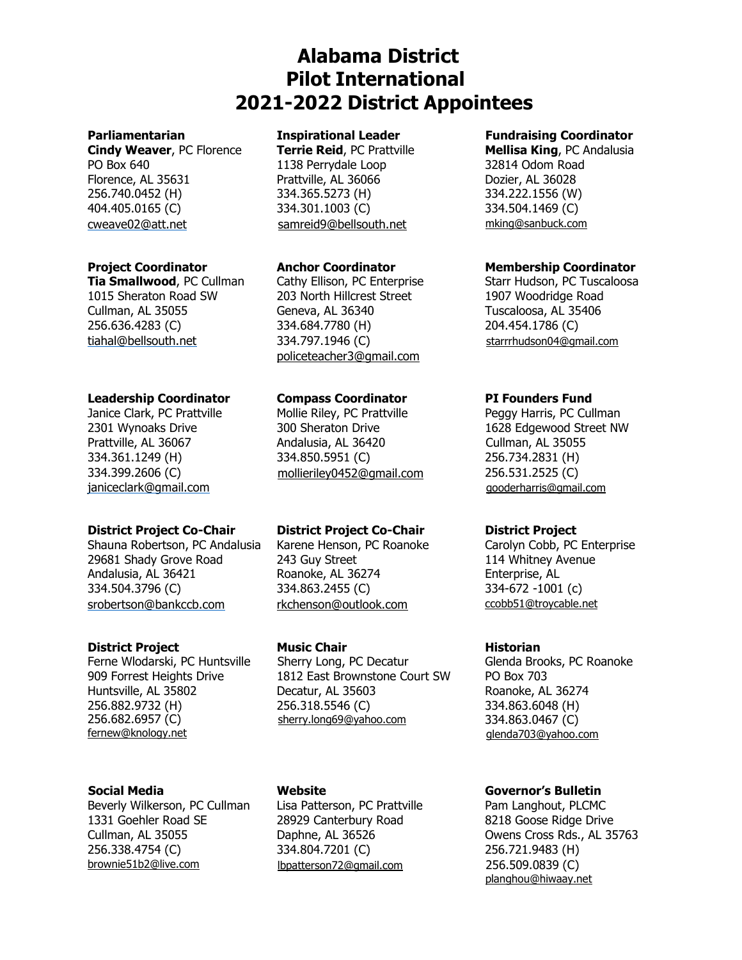# **Alabama District Pilot International 2021-2022 District Appointees**

**Cindy Weaver**, PC Florence **Terrie Reid**, PC Prattville **Mellisa King**, PC Andalusia PO Box 640 **1138 Perrydale Loop** 32814 Odom Road Florence, AL 35631 Prattville, AL 36066 Dozier, AL 36028 256.740.0452 (H) 334.365.5273 (H) 334.222.1556 (W) 404.405.0165 (C) 334.301.1003 (C) 334.504.1469 (C) [cweave02@att.net](mailto:cweave02@att.net) [samreid9@bellsouth.net](mailto:samreid9@bellsouth.net) [mking@sanbuck.com](mailto:mking@sanbuck.com)

**Tia Smallwood**, PC Cullman Cathy Ellison, PC Enterprise Starr Hudson, PC Tuscaloosa 1015 Sheraton Road SW 203 North Hillcrest Street 1907 Woodridge Road Cullman, AL 35055 Geneva, AL 36340 Tuscaloosa, AL 35406 256.636.4283 (C) 334.684.7780 (H) 204.454.1786 (C) [tiahal@bellsouth.net](mailto:tiahal@bellsouth.net) 334.797.1946 (C)

## **Leadership Coordinator Compass Coordinator PI Founders Fund**

334.399.2606 (C) [janiceclark@gmail.com](mailto:janiceclark@gmail.com)

## **District Project Co-Chair District Project Co-Chair District Project**

Shauna Robertson, PC Andalusia Karene Henson, PC Roanoke Carolyn Cobb, PC Enterprise 29681 Shady Grove Road 243 Guy Street 114 Whitney Avenue Andalusia, AL 36421 Roanoke, AL 36274 Enterprise, AL 334.504.3796 (C) 334.863.2455 (C) 334-672 -1001 (c) [srobertson@bankccb.com](mailto:srobertson@bankccb.com) [rkchenson@outlook.com](mailto:rkchenson@outlook.com) [ccobb51@troycable.net](mailto:ccobb51@troycable.net)

## **District Project Music Chair Music Chair Historian**

256.882.9732 (H) 256.682.6957 (C) [fernew@knology.net](mailto:fernew@knology.net)

Beverly Wilkerson, PC Cullman Lisa Patterson, PC Prattville Pam Langhout, PLCMC 1331 Goehler Road SE 28929 Canterbury Road 8218 Goose Ridge Drive Cullman, AL 35055 Daphne, AL 36526 Owens Cross Rds., AL 35763 256.338.4754 (C) 334.804.7201 (C) 256.721.9483 (H) [brownie51b2@live.com](mailto:brownie51b2@live.com) [lbpatterson72@gmail.com](mailto:lbpatterson72@gmail.com) 256.509.0839 (C)

[policeteacher3@gmail.com](mailto:policeteacher3@gmail.com)

2301 Wynoaks Drive 300 Sheraton Drive 1628 Edgewood Street NW Prattville, AL 36067 Andalusia, AL 36420 Cullman, AL 35055 334.361.1249 (H) 334.850.5951 (C) 256.734.2831 (H) [mollieriley0452@gmail.com](mailto:mollieriley0452@gmail.com) 256.531.2525 (C)

Ferne Wlodarski, PC Huntsville Sherry Long, PC Decatur Glenda Brooks, PC Roanoke 909 Forrest Heights Drive 1812 East Brownstone Court SW PO Box 703 Huntsville, AL 35802 Decatur, AL 35603 Roanoke, AL 36274 256.318.5546 (C) [sherry.long69@yahoo.com](mailto:sherry.long69@yahoo.com)

## **Parliamentarian Inspirational Leader Fundraising Coordinator**

## **Project Coordinator Anchor Coordinator Membership Coordinator**

[starrrhudson04@gmail.com](mailto:starrrhudson04@gmail.com)

Janice Clark, PC Prattville Mollie Riley, PC Prattville Peggy Harris, PC Cullman [gooderharris@gmail.com](mailto:gooderharris@gmail.com)

334.863.6048 (H) 334.863.0467 (C) [glenda703@yahoo.com](mailto:glenda703@yahoo.com)

## **Social Media Website Governor's Bulletin**

[planghou@hiwaay.net](mailto:planghou@hiwaay.net)